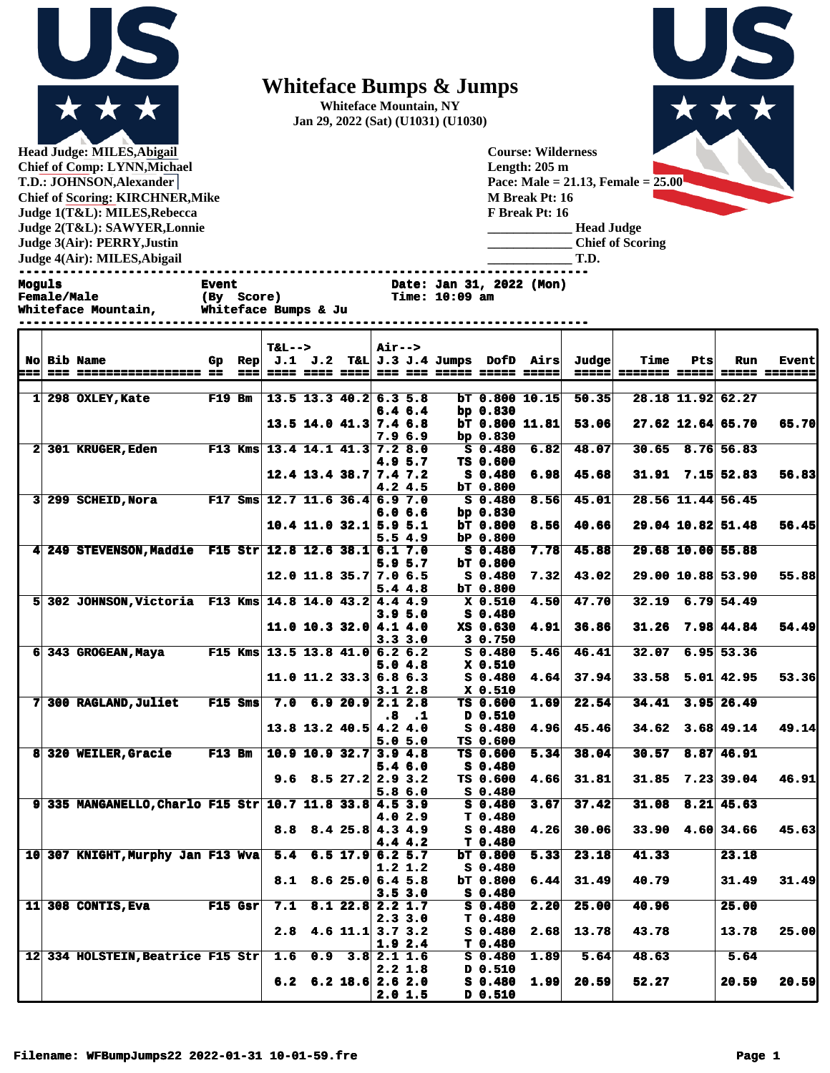

**Head Judge: MILES,Abigail Chief of Comp: LYNN,Michael T.D.: JOHNSON,Alexander Chief of Scoring: KIRCHNER,Mike Judge 1(T&L): MILES,Rebecca Judge 2(T&L): SAWYER,Lonnie Judge 3(Air): PERRY,Justin Judge 4(Air): MILES,Abigail** 

## **Whiteface Bumps & Jumps**

**Whiteface Mountain, NY Jan 29, 2022 (Sat) (U1031) (U1030)**

**Female/Male (By Score) Time: 10:09 am**

**Course: Wilderness Length: 205 m Pace: Male = 21.13, Female = 25.00 M Break Pt: 16 F Break Pt: 16 \_\_\_\_\_\_\_\_\_\_\_\_\_ Head Judge \_\_\_\_\_\_\_\_\_\_\_\_\_ Chief of Scoring \_\_\_\_\_\_\_\_\_\_\_\_\_ T.D.**

**------------------------------------------------------------------------------ Moguls Event** Event Date: Jan 31, 2022 (Mon)<br> **Female/Male** (By Score) Time: 10:09 am

**Whiteface Mountain, Whiteface Bumps & Ju** 

|     | No Bib Name                                              |      | $T&L-->$ |                                                |                   | <b>Air--&gt;</b> |                  |                                 |                                                    |                | Time                  |     | Run                    |                               |
|-----|----------------------------------------------------------|------|----------|------------------------------------------------|-------------------|------------------|------------------|---------------------------------|----------------------------------------------------|----------------|-----------------------|-----|------------------------|-------------------------------|
| === | --- ----------------- --                                 | $==$ |          |                                                |                   |                  |                  |                                 | Gp Rep $J.1$ $J.2$ T&L $J.3$ $J.4$ Jumps DofD Airs | Judge<br>===== | <u> ======= =====</u> | Pts |                        | <b>Event</b><br>===== ======= |
|     |                                                          |      |          |                                                |                   |                  |                  |                                 |                                                    |                |                       |     |                        |                               |
|     | 1 298 OXLEY, Kate F19 Bm 13.5 13.3 40.2 6.3 5.8          |      |          |                                                |                   |                  |                  |                                 | $bT$ 0.800 10.15                                   | 50.35          |                       |     | 28.18 11.92 62.27      |                               |
|     |                                                          |      |          |                                                |                   |                  | 6.46.4           | bp $0.830$                      |                                                    |                |                       |     |                        |                               |
|     |                                                          |      |          | $13.5$ 14.0 41.3 7.4 6.8                       |                   |                  |                  |                                 | $bT$ 0.800 11.81                                   | 53.06          |                       |     | $27.62$ 12.64 65.70    | 65.70                         |
|     |                                                          |      |          |                                                |                   |                  | 7.9 6.9          | bp $0.830$                      |                                                    |                |                       |     |                        |                               |
|     | 2 301 KRUGER, Eden F13 Kms 13.4 14.1 41.3 7.2 8.0        |      |          |                                                |                   |                  |                  | S 0.480                         | 6.82                                               | 48.07          |                       |     | $30.65$ 8.76 56.83     |                               |
|     |                                                          |      |          |                                                |                   |                  | 4.9 5.7          | TS 0.600                        |                                                    |                |                       |     |                        |                               |
|     |                                                          |      |          | $12.4$ 13.4 38.7 7.4 7.2                       |                   |                  |                  | S 0.480                         | 6.98                                               | 45.68          |                       |     | $31.91$ $7.15$ $52.83$ | 56.83                         |
|     | 3 299 SCHEID, Nora F17 Sms 12.7 11.6 36.4 6.9 7.0        |      |          |                                                |                   |                  | 4.24.5           | bT 0.800                        | 8.56                                               | 45.01          |                       |     | 28.56 11.44 56.45      |                               |
|     |                                                          |      |          |                                                |                   |                  | 6.0 6.6          | S 0.480<br>bp $0.830$           |                                                    |                |                       |     |                        |                               |
|     |                                                          |      |          | $10.4$ 11.0 32.1 5.9 5.1                       |                   |                  |                  | <b>bT 0.800</b>                 | 8.56                                               | 40.66          |                       |     | 29.04 10.82 51.48      | 56.45                         |
|     |                                                          |      |          |                                                |                   |                  | 5.54.9           | bP 0.800                        |                                                    |                |                       |     |                        |                               |
|     | 4 249 STEVENSON, Maddie F15 Str 12.8 12.6 38.1 6.1 7.0   |      |          |                                                |                   |                  |                  | S 0.480                         | 7.78                                               | 45.88          |                       |     | 29.68 10.00 55.88      |                               |
|     |                                                          |      |          |                                                |                   |                  | 5.9 5.7          | bT 0.800                        |                                                    |                |                       |     |                        |                               |
|     |                                                          |      |          | $12.0$ 11.8 35.7 7.0 6.5                       |                   |                  |                  | S 0.480                         | 7.32                                               | 43.02          |                       |     | 29.00 10.88 53.90      | 55.88                         |
|     |                                                          |      |          |                                                |                   |                  | 5.44.8           | bT 0.800                        |                                                    |                |                       |     |                        |                               |
|     | 5 302 JOHNSON, Victoria F13 Kms $14.8$ 14.0 43.2 4.4 4.9 |      |          |                                                |                   |                  |                  | X 0.510                         | 4.50                                               | 47.70          | 32.19                 |     | $6.79$ 54.49           |                               |
|     |                                                          |      |          |                                                |                   |                  | 3.95.0           | S 0.480                         |                                                    |                |                       |     |                        |                               |
|     |                                                          |      |          | 11.0 10.3 32.0 4.1 4.0                         |                   |                  |                  | XS 0.630                        | 4.91                                               | 36.86          |                       |     | $31.26$ 7.98 44.84     | 54.49                         |
|     | 6 343 GROGEAN, Maya F15 Kms 13.5 13.8 41.0 6.2 6.2       |      |          |                                                |                   |                  | 3.33.0           | 3 0.750                         |                                                    |                |                       |     |                        |                               |
|     |                                                          |      |          |                                                |                   |                  | 5.04.8           | $S_0.480$<br>$X$ 0.510          | 5.46                                               | 46.41          | 32.07                 |     | $6.95$ 53.36           |                               |
|     |                                                          |      |          | 11.0 11.2 33.3 6.8 6.3                         |                   |                  |                  | $S_0.480$                       | 4.64                                               | 37.94          |                       |     | $33.58$ 5.01 42.95     | 53.36                         |
|     |                                                          |      |          |                                                |                   |                  | 3.12.8           | X 0.510                         |                                                    |                |                       |     |                        |                               |
|     | 7 300 RAGLAND, Juliet F15 Sms 7.0 6.9 20.9 2.1 2.8       |      |          |                                                |                   |                  |                  | TS 0.600                        | 1.69                                               | 22.54          | 34.41                 |     | $3.95$ 26.49           |                               |
|     |                                                          |      |          |                                                |                   |                  | .8 <sub>.1</sub> | 0.510 מ                         |                                                    |                |                       |     |                        |                               |
|     |                                                          |      |          | $13.8$ 13.2 40.5 4.2 4.0                       |                   |                  |                  | S 0.480                         | 4.96                                               | 45.46          |                       |     | $34.62$ $3.68$ $49.14$ | 49.14                         |
|     |                                                          |      |          |                                                |                   |                  | 5.05.0           | TS 0.600                        |                                                    |                |                       |     |                        |                               |
|     | 8 320 WEILER, Gracie F13 Bm 10.9 10.9 32.7 3.9 4.8       |      |          |                                                |                   |                  |                  | TS 0.600                        | 5.34                                               | 38.04          | 30.57                 |     | 8.87 46.91             |                               |
|     |                                                          |      |          |                                                |                   |                  | 5.46.0           | S 0.480                         |                                                    |                |                       |     |                        |                               |
|     |                                                          |      |          | 9.6 8.5 27.2 2.9 3.2                           |                   |                  |                  | TS 0.600                        | 4.66                                               | 31.81          |                       |     | $31.85$ $7.23$ $39.04$ | 46.91                         |
|     | 9 335 MANGANELLO, Charlo F15 Str 10.7 11.8 33.8 4.5 3.9  |      |          |                                                |                   |                  | 5.86.0           | $S$ 0.480<br>$S$ 0.480          | 3.67                                               | 37.42          | 31.08                 |     | $8.21$ 45.63           |                               |
|     |                                                          |      |          |                                                |                   |                  | 4.02.9           | T 0.480                         |                                                    |                |                       |     |                        |                               |
|     |                                                          |      |          | $8.8$ $8.4$ $25.8$ $4.3$ $4.9$                 |                   |                  |                  | $S_0.480$                       | 4.26                                               | 30.06          | 33.90                 |     | 4.60 34.66             | 45.63                         |
|     |                                                          |      |          |                                                |                   |                  | 4.44.2           | T 0.480                         |                                                    |                |                       |     |                        |                               |
|     | 10 307 KNIGHT, Murphy Jan F13 Wva 5.4 6.5 17.9 6.2 5.7   |      |          |                                                |                   |                  |                  | bT 0.800                        | 5.33                                               | 23.18          | 41.33                 |     | 23.18                  |                               |
|     |                                                          |      |          |                                                |                   |                  | 1.2 1.2          | $S$ 0.480                       |                                                    |                |                       |     |                        |                               |
|     |                                                          |      |          | $8.1 \quad 8.6 \quad 25.0 \quad 6.4 \quad 5.8$ |                   |                  |                  | bT 0.800                        | 6.44                                               | 31.49          | 40.79                 |     | 31.49                  | 31.49                         |
|     |                                                          |      |          |                                                |                   |                  | 3.53.0           | $S_0.480$                       |                                                    |                |                       |     |                        |                               |
|     | 11 308 CONTIS, Eva F15 Gsr                               |      |          | $7.1 \quad 8.1 \quad 22.8 \quad 2.2 \quad 1.7$ |                   |                  |                  | $S_0.480$                       | 2.20                                               | 25.00          | 40.96                 |     | 25.00                  |                               |
|     |                                                          |      |          |                                                |                   |                  | 2.33.0           | T <sub>0.480</sub>              |                                                    |                |                       |     |                        |                               |
|     |                                                          |      | 2.8      |                                                | 4.6 11.1 3.7 3.2  |                  |                  | $S_0.480$                       | 2.68                                               | 13.78          | 43.78                 |     | 13.78                  | 25.00                         |
|     | 12 334 HOLSTEIN, Beatrice F15 Str 1.6                    |      |          |                                                | $0.9$ 3.8 2.1 1.6 |                  | 1.92.4           | T <sub>0.480</sub><br>$S_0.480$ | 1.89                                               | 5.64           | 48.63                 |     | 5.64                   |                               |
|     |                                                          |      |          |                                                |                   |                  | 2.2 1.8          | D 0.510                         |                                                    |                |                       |     |                        |                               |
|     |                                                          |      |          | $6.2 \quad 6.2 \quad 18.6 \quad 2.6 \quad 2.0$ |                   |                  |                  | $S_0.480$                       | 1.99                                               | 20.59          | 52.27                 |     | 20.59                  | 20.59                         |
|     |                                                          |      |          |                                                |                   |                  | 2.01.5           | D 0.510                         |                                                    |                |                       |     |                        |                               |

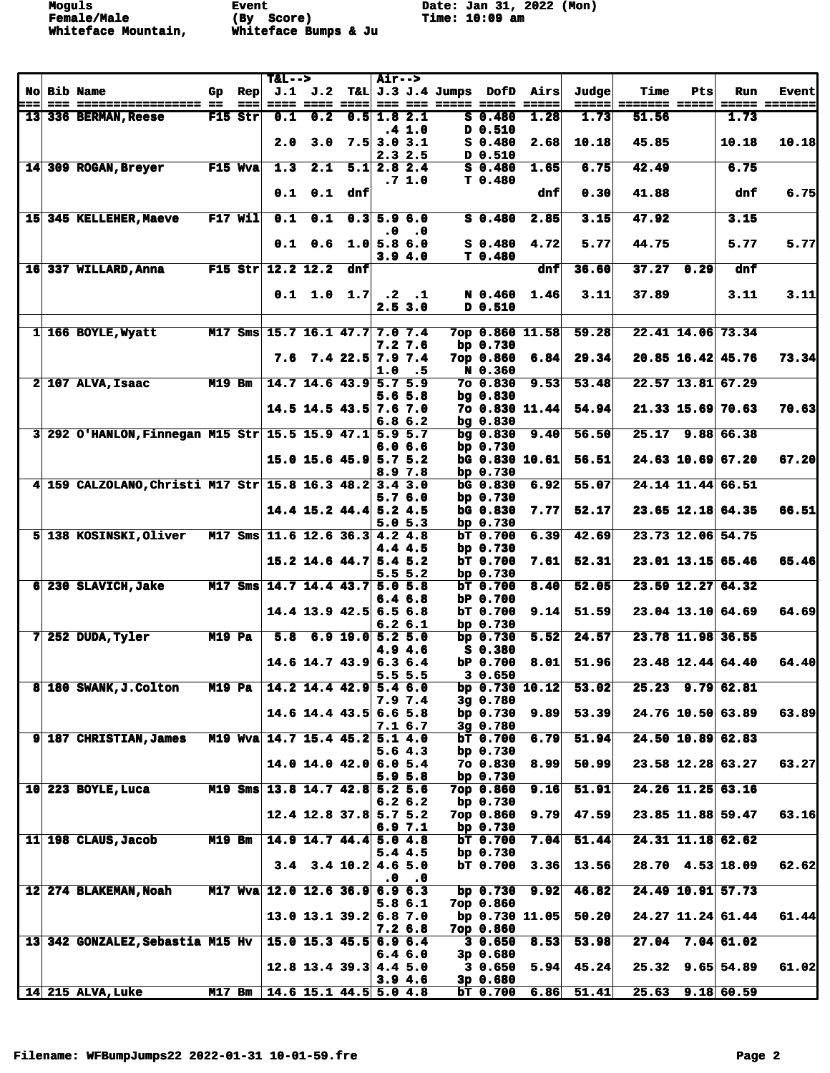**Female/Male (By Score) Time: 10:09 am Whiteface Mountain, Whiteface Bumps & Ju** 

**Moguls Event Date: Jan 31, 2022 (Mon)**

|  |                                                           |               |                 | $T&L-->$                        |                                         |                    | <b>Air--&gt;</b> |                             |                                                  |                           |                                             |       |                      |                   |                      |               |
|--|-----------------------------------------------------------|---------------|-----------------|---------------------------------|-----------------------------------------|--------------------|------------------|-----------------------------|--------------------------------------------------|---------------------------|---------------------------------------------|-------|----------------------|-------------------|----------------------|---------------|
|  | No Bib Name                                               | Gp            | $\mathbf{Rep}$  |                                 |                                         |                    |                  |                             |                                                  |                           | $J.1$ $J.2$ T&L $J.3$ $J.4$ Jumps DofD Airs | Judge | Time                 | Pts               | <b>Run</b>           | <b>Event</b>  |
|  | === ================== ==                                 |               | $=$ $=$ $=$ $ $ |                                 |                                         |                    |                  |                             | <u>==== ==== ====  === === ===== ===== =====</u> |                           |                                             |       | =====  ======= ===== |                   |                      | ===== ======= |
|  | 13 336 BERMAN, Reese                                      |               | $F15$ Str       | 0.1                             | 0.2                                     | $0.5$ 1.8 2.1      |                  |                             |                                                  | $S$ 0.480                 | 1.28                                        | 1.73  | 51.56                |                   | 1.73                 |               |
|  |                                                           |               |                 | 2.0                             | 3.0                                     | $7.5$ 3.0 3.1      |                  | .4 1.0                      |                                                  | D 0.510<br>$S_0.480$      | 2.68                                        | 10.18 | 45.85                |                   | 10.18                | 10.18         |
|  |                                                           |               |                 |                                 |                                         |                    |                  | 2.32.5                      |                                                  | D 0.510                   |                                             |       |                      |                   |                      |               |
|  | 14 309 ROGAN, Breyer                                      |               | F15 Wva         | 1.3                             |                                         | $2.1$ 5.1 2.8 2.4  |                  |                             |                                                  | $S_0.480$                 | 1.65                                        | 6.75  | 42.49                |                   | 6.75                 |               |
|  |                                                           |               |                 |                                 |                                         |                    |                  | .7 1.0                      |                                                  | T <sub>0.480</sub>        |                                             |       |                      |                   |                      |               |
|  |                                                           |               |                 |                                 | $0.1$ $0.1$ dnf                         |                    |                  |                             |                                                  |                           | dnf                                         | 0.30  | 41.88                |                   | dnf                  | 6.75          |
|  |                                                           |               |                 |                                 |                                         |                    |                  |                             |                                                  |                           |                                             |       |                      |                   |                      |               |
|  | 15 345 KELLEHER, Maeve                                    |               | $F17$ Wil       | 0.1                             | 0.1                                     |                    |                  | $0.3$ 5.9 6.0               |                                                  | $S$ 0.480                 | 2.85                                        | 3.15  | 47.92                |                   | 3.15                 |               |
|  |                                                           |               |                 |                                 |                                         |                    | $\cdot$ 0        | $\cdot$ 0                   |                                                  |                           |                                             |       |                      |                   |                      |               |
|  |                                                           |               |                 |                                 | $0.1 \quad 0.6 \quad 1.0 \, 5.8 \, 6.0$ |                    |                  |                             |                                                  | $S_0.480$                 | 4.72                                        | 5.77  | 44.75                |                   | 5.77                 | 5.77          |
|  | 16 337 WILLARD, Anna                                      |               |                 | F15 Str $12.2$ 12.2             |                                         | dnf                |                  | 3.94.0                      |                                                  | T 0.480                   | dnfl                                        | 36.60 |                      | $37.27$ 0.29      | dnf                  |               |
|  |                                                           |               |                 |                                 |                                         |                    |                  |                             |                                                  |                           |                                             |       |                      |                   |                      |               |
|  |                                                           |               |                 |                                 | $0.1$ 1.0 1.7 .2 .1                     |                    |                  |                             |                                                  |                           | N 0.460 1.46                                | 3.11  | 37.89                |                   | 3.11                 | 3.11          |
|  |                                                           |               |                 |                                 |                                         |                    |                  | 2.53.0                      |                                                  | D 0.510                   |                                             |       |                      |                   |                      |               |
|  |                                                           |               |                 |                                 |                                         |                    |                  |                             |                                                  |                           |                                             |       |                      |                   |                      |               |
|  | 1 166 BOYLE, Wyatt                                        |               |                 | M17 Sms 15.7 16.1 47.7 7.0 7.4  |                                         |                    |                  |                             |                                                  |                           | 7op 0.860 11.58                             | 59.28 |                      |                   | 22.41 14.06 73.34    |               |
|  |                                                           |               |                 |                                 |                                         |                    |                  | 7.27.6                      |                                                  | bp $0.730$                |                                             |       |                      |                   |                      |               |
|  |                                                           |               |                 |                                 | $7.6$ $7.4$ $22.5$ $7.9$ $7.4$          |                    |                  |                             |                                                  | 7op 0.860                 | 6.84                                        | 29.34 |                      |                   | 20.85 16.42 45.76    | 73.34         |
|  | $2$ 107 ALVA, Isaac                                       | $M19$ Bm      |                 |                                 | $14.7$ 14.6 43.9 5.7 5.9                |                    | 1.0              | .5                          |                                                  | N 0.360                   | 9.53                                        | 53.48 |                      |                   | 22.57 13.81 67.29    |               |
|  |                                                           |               |                 |                                 |                                         |                    |                  | $5.6\,5.8$                  |                                                  | 7o 0.830<br>$bg \, 0.830$ |                                             |       |                      |                   |                      |               |
|  |                                                           |               |                 |                                 | $14.5$ 14.5 43.5 7.6 7.0                |                    |                  |                             |                                                  |                           | 70 0.830 11.44                              | 54.94 |                      |                   | $21.33$ 15.69 70.63  | 70.63         |
|  |                                                           |               |                 |                                 |                                         |                    |                  | 6.86.2                      |                                                  | $bg \, 0.830$             |                                             |       |                      |                   |                      |               |
|  | $3 292$ O'HANLON, Finnegan M15 Str 15.5 15.9 47.1 5.9 5.7 |               |                 |                                 |                                         |                    |                  |                             |                                                  | bg 0.830                  | 9.40                                        | 56.50 |                      |                   | 25.17 9.88 66.38     |               |
|  |                                                           |               |                 |                                 |                                         |                    |                  | 6.0 6.6                     |                                                  | bp $0.730$                |                                             |       |                      |                   |                      |               |
|  |                                                           |               |                 |                                 | $15.0$ 15.6 45.9 5.7 5.2                |                    |                  |                             |                                                  |                           | bg 0.830 10.61                              | 56.51 |                      |                   | 24.63 10.69 67.20    | 67.20         |
|  |                                                           |               |                 |                                 |                                         |                    |                  | 8.9 7.8                     |                                                  | bp $0.730$                |                                             |       |                      |                   |                      |               |
|  | 4 159 CALZOLANO, Christi M17 Str 15.8 16.3 48.2 3.4 3.0   |               |                 |                                 |                                         |                    |                  |                             |                                                  | bG 0.830                  | 6.92                                        | 55.07 |                      |                   | 24.14 11.44 66.51    |               |
|  |                                                           |               |                 |                                 | $14.4$ 15.2 44.4 5.2 4.5                |                    |                  | 5.76.0                      |                                                  | bp $0.730$<br>bG 0.830    | 7.77                                        | 52.17 |                      |                   | 23.65 12.18 64.35    | 66.51         |
|  |                                                           |               |                 |                                 |                                         |                    |                  | 5.05.3                      |                                                  | bp $0.730$                |                                             |       |                      |                   |                      |               |
|  | 5 138 KOSINSKI, Oliver                                    |               |                 | M17 Sms 11.6 12.6 36.3 4.2 4.8  |                                         |                    |                  |                             |                                                  | $bT$ 0.700                | 6.39                                        | 42.69 |                      |                   | 23.73 12.06 54.75    |               |
|  |                                                           |               |                 |                                 |                                         |                    |                  | 4.4 4.5                     |                                                  | bp $0.730$                |                                             |       |                      |                   |                      |               |
|  |                                                           |               |                 |                                 | $15.2$ 14.6 44.7 5.4 5.2                |                    |                  |                             |                                                  | $bT$ 0.700                | 7.61                                        | 52.31 |                      |                   | 23.01 13.15 65.46    | 65.46         |
|  |                                                           |               |                 |                                 |                                         |                    |                  | 5.5 <sub>5.2</sub>          |                                                  | bp $0.730$                |                                             |       |                      |                   |                      |               |
|  | 6 230 SLAVICH, Jake                                       |               |                 | M17 Sms 14.7 14.4 43.7 5.0 5.8  |                                         |                    |                  |                             |                                                  | bT 0.700                  | 8.40                                        | 52.05 |                      |                   | 23.59 12.27 64.32    |               |
|  |                                                           |               |                 |                                 |                                         |                    |                  | 6.46.8                      |                                                  | bP 0.700                  |                                             |       |                      |                   |                      |               |
|  |                                                           |               |                 |                                 | $14.4$ 13.9 42.5 6.5 6.8                |                    |                  | 6.26.1                      |                                                  | bT 0.700<br>bp $0.730$    | 9.14                                        | 51.59 |                      |                   | 23.04 13.10 64.69    | 64.69         |
|  | 7 252 DUDA, Tyler                                         | $M19$ Pa      |                 | 5.8                             |                                         | $6.9$ 19.0 5.2 5.0 |                  |                             |                                                  | bp $0.730$                | 5.52                                        | 24.57 |                      |                   | 23.78 11.98 36.55    |               |
|  |                                                           |               |                 |                                 |                                         |                    |                  | 4.9 4.6                     |                                                  | S 0.380                   |                                             |       |                      |                   |                      |               |
|  |                                                           |               |                 |                                 | $14.6$ 14.7 43.9 6.3 6.4                |                    |                  |                             |                                                  | bP 0.700                  | 8.01                                        | 51.96 |                      |                   | $23.48$ 12.44 64.40  | 64.40         |
|  |                                                           |               |                 |                                 |                                         |                    |                  | 5.5 <sub>5.5</sub>          |                                                  | 3 0.650                   |                                             |       |                      |                   |                      |               |
|  | 8 180 SWANK, J. Colton                                    | <b>M19 Pa</b> |                 |                                 | $14.2$ 14.4 42.9 5.4 6.0                |                    |                  |                             |                                                  |                           | bp $0.730$ 10.12                            | 53.02 |                      |                   | $25.23$ 9.79 62.81   |               |
|  |                                                           |               |                 |                                 |                                         |                    |                  | 7.9 7.4                     |                                                  | 3g 0.780                  |                                             |       |                      |                   |                      |               |
|  |                                                           |               |                 |                                 | $14.6$ 14.4 43.5 6.6 5.8                |                    |                  |                             |                                                  | bp $0.730$                | 9.89                                        | 53.39 |                      |                   | 24.76 10.50 63.89    | 63.89         |
|  | 9 187 CHRISTIAN, James                                    |               |                 | M19 Wya 14.7 15.4 45.2 5.1 4.0  |                                         |                    |                  | 7.1 6.7                     |                                                  | 3g 0.780<br>$bT$ 0.700    | 6.79                                        | 51.94 |                      |                   | 24.50 10.89 62.83    |               |
|  |                                                           |               |                 |                                 |                                         |                    |                  | 5.64.3                      |                                                  | bp $0.730$                |                                             |       |                      |                   |                      |               |
|  |                                                           |               |                 |                                 | 14.0 14.0 42.0 6.0 5.4                  |                    |                  |                             |                                                  | 7o 0.830                  | 8.99                                        | 50.99 |                      |                   | 23.58 12.28 63.27    | 63.27         |
|  |                                                           |               |                 |                                 |                                         |                    |                  | 5.9 5.8                     |                                                  | bp $0.730$                |                                             |       |                      |                   |                      |               |
|  | $10 \vert 223$ BOYLE, Luca                                |               |                 | M19 Sms 13.8 14.7 42.8 5.2 5.6  |                                         |                    |                  |                             |                                                  | 7op 0.860                 | 9.16                                        | 51.91 |                      | 24.26 11.25 63.16 |                      |               |
|  |                                                           |               |                 |                                 |                                         |                    |                  | 6.26.2                      |                                                  | bp $0.730$                |                                             |       |                      |                   |                      |               |
|  |                                                           |               |                 |                                 | $12.4$ 12.8 37.8 5.7 5.2                |                    |                  |                             |                                                  | 7op 0.860                 | 9.79                                        | 47.59 |                      |                   | 23.85 11.88 59.47    | 63.16         |
|  |                                                           |               | <b>M19 Bm</b>   |                                 | $14.9$ 14.7 44.4 5.0 4.8                |                    |                  | 6.97.1                      |                                                  | bp $0.730$                | 7.04                                        | 51.44 |                      |                   | 24.31 11.18 62.62    |               |
|  | $11$   198 CLAUS, Jacob                                   |               |                 |                                 |                                         |                    |                  | 5.4 4.5                     |                                                  | $bT$ 0.700<br>bp $0.730$  |                                             |       |                      |                   |                      |               |
|  |                                                           |               |                 |                                 | 3.4 3.4 10.2 4.6 5.0                    |                    |                  |                             |                                                  | bT 0.700                  | 3.36                                        | 13.56 |                      |                   | $28.70$ 4.53 18.09   | 62.62         |
|  |                                                           |               |                 |                                 |                                         |                    |                  | $\mathbf{.0}$ $\mathbf{.0}$ |                                                  |                           |                                             |       |                      |                   |                      |               |
|  | 12 274 BLAKEMAN, Noah                                     |               |                 | M17 Wva 12.0 12.6 36.9 6.9 6.3  |                                         |                    |                  |                             |                                                  | bp $0.730$                | 9.92                                        | 46.82 |                      |                   | 24.49 10.91 57.73    |               |
|  |                                                           |               |                 |                                 |                                         |                    |                  | 5.8 6.1                     |                                                  | 7op 0.860                 |                                             |       |                      |                   |                      |               |
|  |                                                           |               |                 |                                 | $13.0$ 13.1 39.2 6.8 7.0                |                    |                  |                             |                                                  |                           | bp $0.730$ 11.05                            | 50.20 |                      |                   | 24.27 11.24 61.44    | 61.44         |
|  |                                                           |               |                 |                                 |                                         |                    |                  | 7.2 6.8                     |                                                  | 7ор 0.860                 |                                             |       |                      |                   |                      |               |
|  | 13 342 GONZALEZ, Sebastia M15 Hv                          |               |                 |                                 | $15.0$ 15.3 45.5 6.9 6.4                |                    |                  |                             |                                                  | 30.650                    | 8.53                                        | 53.98 |                      |                   | $27.04$ $7.04$ 61.02 |               |
|  |                                                           |               |                 |                                 | $12.8$ 13.4 39.3 4.4 5.0                |                    |                  | 6.46.0                      |                                                  | $3p$ 0.680<br>30.650      | 5.94                                        | 45.24 |                      |                   | 25.32 9.65 54.89     | 61.02         |
|  |                                                           |               |                 |                                 |                                         |                    |                  | 3.94.6                      |                                                  | $3p$ 0.680                |                                             |       |                      |                   |                      |               |
|  | $ 14 215$ ALVA, Luke                                      |               |                 | M17 Bm   14.6 15.1 44.5 5.0 4.8 |                                         |                    |                  |                             |                                                  | $bT$ 0.700                | 6.86                                        | 51.41 |                      |                   | $25.63$ $9.18$ 60.59 |               |
|  |                                                           |               |                 |                                 |                                         |                    |                  |                             |                                                  |                           |                                             |       |                      |                   |                      |               |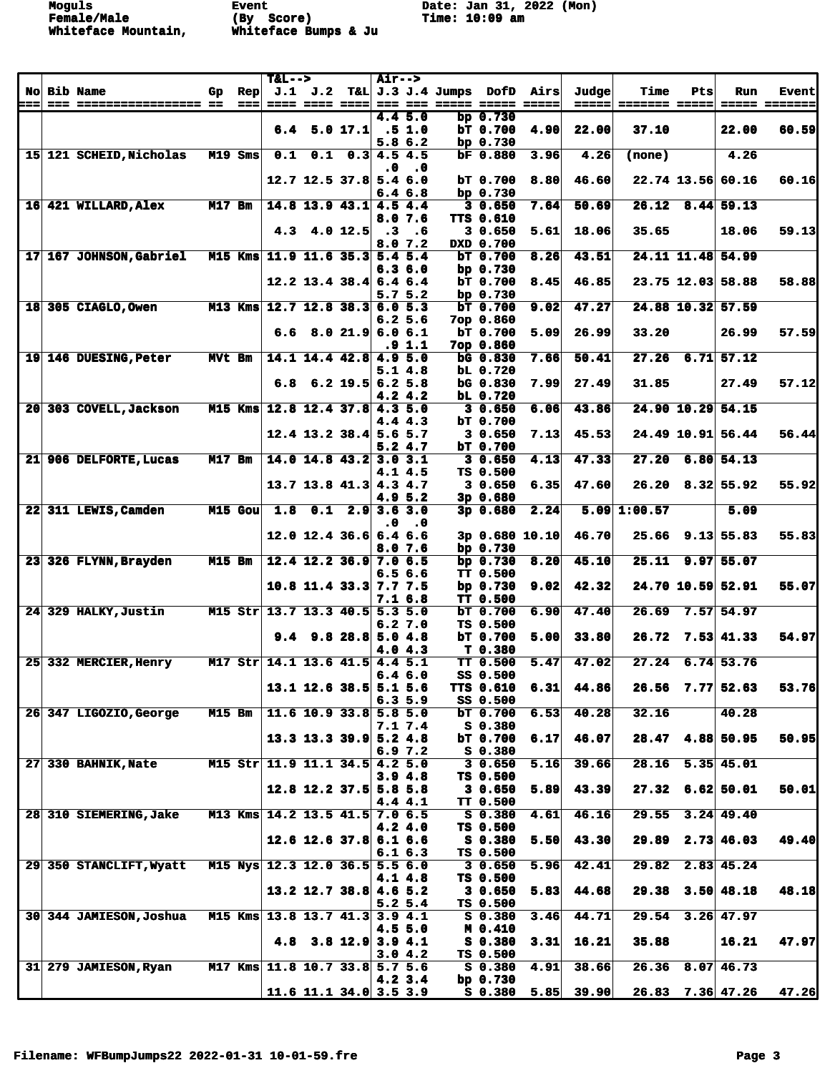**Female/Male (By Score) Time: 10:09 am Whiteface Mountain, Whiteface Bumps & Ju** 

**Moguls Event Date: Jan 31, 2022 (Mon)**

|                 |                                                        |           |                        | $T&L-->$                       |                            |                                     | <b>Air--&gt;</b> |                    |                                                                          |                              |                |                 |                                             |     |                        |                               |
|-----------------|--------------------------------------------------------|-----------|------------------------|--------------------------------|----------------------------|-------------------------------------|------------------|--------------------|--------------------------------------------------------------------------|------------------------------|----------------|-----------------|---------------------------------------------|-----|------------------------|-------------------------------|
| ===             | No Bib Name                                            | Gp        | $\mathbf{Rep}$<br>$==$ |                                | ==== ==== ====             |                                     |                  |                    | $J.1$ $J.2$ T&L $J.3$ $J.4$ Jumps DofD Airs<br>=== === ===== ===== ===== |                              |                | Judge <br>===== | <b>Time</b><br>======= =====                | Pts | Run                    | <b>Event</b><br>===== ======= |
|                 |                                                        |           |                        |                                |                            |                                     |                  | 4.4 5.0            |                                                                          | bp $0.730$                   |                |                 |                                             |     |                        |                               |
|                 |                                                        |           |                        |                                | $6.4$ 5.0 17.1             |                                     |                  | .51.0              |                                                                          | bT 0.700                     | 4.90           | 22.00           | 37.10                                       |     | 22.00                  | 60.59                         |
|                 |                                                        |           |                        |                                |                            |                                     |                  | 5.86.2             |                                                                          | bp $0.730$                   |                |                 |                                             |     |                        |                               |
|                 | 15 121 SCHEID, Nicholas                                |           | M19 Sms                | 0.1                            |                            | $0.1 \quad 0.3 \quad 4.5 \quad 4.5$ |                  |                    |                                                                          | bF 0.880                     | 3.96           | 4.26            | (none)                                      |     | 4.26                   |                               |
|                 |                                                        |           |                        |                                | $12.7$ 12.5 37.8 5.4 6.0   |                                     | $\cdot$ 0        | $\cdot$ 0          |                                                                          | $bT$ 0.700                   | 8.80           | 46.60           |                                             |     | 22.74 13.56 60.16      | 60.16                         |
|                 |                                                        |           |                        |                                |                            |                                     |                  | 6.46.8             |                                                                          | bp $0.730$                   |                |                 |                                             |     |                        |                               |
|                 | 16 421 WILLARD, Alex                                   | $M17$ Bm  |                        |                                | $14.8$ 13.9 43.1 4.5 4.4   |                                     |                  |                    |                                                                          | 30.650                       | 7.64           | 50.69           | 26.12                                       |     | $8.44$ 59.13           |                               |
|                 |                                                        |           |                        |                                |                            |                                     |                  | 8.0 7.6            |                                                                          | TTS 0.610                    |                |                 |                                             |     |                        |                               |
|                 |                                                        |           |                        |                                | 4.3 4.0 $12.5$ .3          |                                     |                  | .6<br>8.07.2       |                                                                          | 30.650<br>DXD 0.700          | 5.61           | 18.06           | 35.65                                       |     | 18.06                  | 59.13                         |
|                 | 17 167 JOHNSON, Gabriel                                | $M15$ Kms |                        |                                | 11.9 11.6 35.3 5.4 5.4     |                                     |                  |                    |                                                                          | $bT$ 0.700                   | 8.26           | 43.51           |                                             |     | 24.11 11.48 54.99      |                               |
|                 |                                                        |           |                        |                                |                            |                                     |                  | 6.36.0             |                                                                          | bp $0.730$                   |                |                 |                                             |     |                        |                               |
|                 |                                                        |           |                        |                                | $12.2$ 13.4 38.4 6.4 6.4   |                                     |                  |                    |                                                                          | bT 0.700                     | 8.45           | 46.85           |                                             |     | 23.75 12.03 58.88      | 58.88                         |
| 18              | 305 CIAGLO, Owen                                       | $M13$ Kms |                        |                                | $12.7$ 12.8 38.3 6.0 5.3   |                                     |                  | 5.75.2             |                                                                          | bp $0.730$<br>bT 0.700       | 9.02           | 47.27           |                                             |     | 24.88 10.32 57.59      |                               |
|                 |                                                        |           |                        |                                |                            |                                     |                  | 6.25.6             |                                                                          | 7op 0.860                    |                |                 |                                             |     |                        |                               |
|                 |                                                        |           |                        |                                | $6.6$ 8.0 21.9 6.0 6.1     |                                     |                  |                    |                                                                          | bT 0.700                     | 5.09           | 26.99           | 33.20                                       |     | 26.99                  | 57.59                         |
|                 |                                                        |           |                        |                                |                            |                                     |                  | $.9 \; 1.1$        |                                                                          | 7op 0.860                    |                |                 |                                             |     |                        |                               |
|                 | 19 146 DUESING, Peter                                  | MVt Bm    |                        |                                | 14.1 14.4 42.8 4.9 5.0     |                                     |                  |                    |                                                                          | <b>bG 0.830</b>              | 7.66           | 50.41           | 27.26                                       |     | $6.71$ 57.12           |                               |
|                 |                                                        |           |                        |                                | $6.8$ $6.2$ 19.5 6.2 5.8   |                                     |                  | 5.1 4.8            |                                                                          | bL 0.720<br><b>bG</b> 0.830  | 7.99           | 27.49           | 31.85                                       |     | 27.49                  | 57.12                         |
|                 |                                                        |           |                        |                                |                            |                                     |                  | 4.24.2             |                                                                          | bL 0.720                     |                |                 |                                             |     |                        |                               |
| 20 <sup>1</sup> | 303 COVELL, Jackson                                    | $M15$ Kms |                        |                                | $12.8$ 12.4 37.8 4.3 5.0   |                                     |                  |                    |                                                                          | 30.650                       | 6.06           | 43.86           |                                             |     | 24.90 10.29 54.15      |                               |
|                 |                                                        |           |                        |                                |                            |                                     |                  | 4.44.3             |                                                                          | bT 0.700                     |                |                 |                                             |     |                        |                               |
|                 |                                                        |           |                        |                                | $12.4$ 13.2 38.4 5.6 5.7   |                                     |                  | 5.24.7             |                                                                          | 30.650<br>bT 0.700           | 7.13           | 45.53           |                                             |     | 24.49 10.91 56.44      | 56.44                         |
| 21              | 906 DELFORTE, Lucas                                    | $M17$ Bm  |                        |                                | $14.0$ 14.8 43.2 3.0 3.1   |                                     |                  |                    |                                                                          | 30.650                       | 4.13           | 47.33           | 27.20                                       |     | $6.80$ 54.13           |                               |
|                 |                                                        |           |                        |                                |                            |                                     |                  | 4.14.5             |                                                                          | TS 0.500                     |                |                 |                                             |     |                        |                               |
|                 |                                                        |           |                        |                                | $13.7$ 13.8 41.3 4.3 4.7   |                                     |                  |                    |                                                                          | 3 0.650                      | 6.35           | 47.60           |                                             |     | $26.20$ 8.32 55.92     | 55.92                         |
| 22 <sup>1</sup> | 311 LEWIS, Camden                                      |           | $M15$ Gou              | $\overline{1.8}$               |                            | $0.1$ 2.9 3.6 3.0                   |                  | 4.9 <sub>5.2</sub> |                                                                          | $3p$ 0.680<br>3p 0.680       | 2.24           |                 | $5.09$ 1:00.57                              |     | 5.09                   |                               |
|                 |                                                        |           |                        |                                |                            |                                     | $\cdot$ 0        | $\cdot$ . 0        |                                                                          |                              |                |                 |                                             |     |                        |                               |
|                 |                                                        |           |                        |                                | $12.0$ 12.4 36.6 6.4 6.6   |                                     |                  |                    |                                                                          |                              | 3p 0.680 10.10 | 46.70           |                                             |     | $25.66$ 9.13 55.83     | 55.83                         |
|                 |                                                        |           |                        |                                |                            |                                     |                  | 8.07.6             |                                                                          | bp $0.730$                   |                |                 |                                             |     |                        |                               |
| 23 <sup>1</sup> | 326 FLYNN, Brayden                                     | M15 Bm    |                        |                                | $12.4$ 12.2 36.9 7.0 6.5   |                                     |                  | 6.56.6             |                                                                          | bp 0.730<br><b>TT 0.500</b>  | 8.20           | 45.10           | 25.11                                       |     | 9.97 55.07             |                               |
|                 |                                                        |           |                        |                                | $10.8$ 11.4 33.3 7.7 7.5   |                                     |                  |                    |                                                                          | bp $0.730$                   | 9.02           | 42.32           |                                             |     | 24.70 10.59 52.91      | 55.07                         |
|                 |                                                        |           |                        |                                |                            |                                     |                  | 7.1 6.8            |                                                                          | <b>TT 0.500</b>              |                |                 |                                             |     |                        |                               |
| 24 <sup>1</sup> | 329 HALKY, Justin                                      |           |                        | M15 Str 13.7 13.3 40.5 5.3 5.0 |                            |                                     |                  |                    |                                                                          | bT 0.700                     | 6.90           | 47.40           | 26.69                                       |     | $7.57 \, 54.97$        |                               |
|                 |                                                        |           |                        |                                | $9.4$ $9.8$ $28.8$ 5.0 4.8 |                                     |                  | 6.27.0             |                                                                          | TS 0.500<br>bT 0.700         | 5.00           | 33.80           | 26.72                                       |     | $7.53$ 41.33           | 54.97                         |
|                 |                                                        |           |                        |                                |                            |                                     |                  | 4.04.3             |                                                                          | T 0.380                      |                |                 |                                             |     |                        |                               |
|                 | 25 332 MERCIER, Henry                                  |           |                        | M17 Str 14.1 13.6 41.5 4.4 5.1 |                            |                                     |                  |                    |                                                                          | TT 0.500                     | 5.47           | 47.02           |                                             |     | $27.24$ 6.74 53.76     |                               |
|                 |                                                        |           |                        |                                | $13.1$ 12.6 38.5 5.1 5.6   |                                     |                  | 6.46.0             |                                                                          | SS 0.500                     |                | 44.86           |                                             |     | $26.56$ 7.77 52.63     |                               |
|                 |                                                        |           |                        |                                |                            |                                     |                  | 6.35.9             |                                                                          | <b>TTS 0.610</b><br>SS 0.500 | 6.31           |                 |                                             |     |                        | 53.76                         |
|                 | 26 347 LIGOZIO, George                                 | $M15$ Bm  |                        |                                | 11.6 10.9 33.8 $5.8$ 5.0   |                                     |                  |                    |                                                                          | $bT_0.700$                   | 6.53           | 40.28           | 32.16                                       |     | 40.28                  |                               |
|                 |                                                        |           |                        |                                |                            |                                     |                  | 7.1 7.4            |                                                                          | $S_0.380$                    |                |                 |                                             |     |                        |                               |
|                 |                                                        |           |                        |                                | $13.3$ 13.3 39.9 5.2 4.8   |                                     |                  | 6.97.2             |                                                                          | $bT$ 0.700<br>$S$ 0.380      | 6.17           | 46.07           |                                             |     | 28.47 4.88 50.95       | 50.95                         |
|                 | 27 330 BAHNIK, Nate                                    |           |                        | M15 Str 11.9 11.1 34.5 4.2 5.0 |                            |                                     |                  |                    |                                                                          | 30.650                       | 5.16           | 39.66           | 28.16                                       |     | $5.35 \, 45.01$        |                               |
|                 |                                                        |           |                        |                                |                            |                                     |                  | 3.94.8             |                                                                          | TS 0.500                     |                |                 |                                             |     |                        |                               |
|                 |                                                        |           |                        |                                | $12.8$ 12.2 37.5 5.8 5.8   |                                     |                  |                    |                                                                          | 30.650                       | 5.89           | 43.39           |                                             |     | $27.32$ 6.62 50.01     | 50.01                         |
|                 | 28 310 SIEMERING, Jake                                 |           |                        | M13 Kms 14.2 13.5 41.5 7.0 6.5 |                            |                                     |                  | 4.44.1             |                                                                          | <b>TT 0.500</b><br>S 0.380   | 4.61           | 46.16           | 29.55                                       |     | $3.24$ 49.40           |                               |
|                 |                                                        |           |                        |                                |                            |                                     |                  | 4.24.0             |                                                                          | TS 0.500                     |                |                 |                                             |     |                        |                               |
|                 |                                                        |           |                        |                                | $12.6$ 12.6 37.8 6.1 6.6   |                                     |                  |                    |                                                                          | <b>S 0.380</b>               | 5.50           | 43.30           |                                             |     | $29.89$ $2.73$ $46.03$ | 49.40                         |
|                 |                                                        |           |                        |                                |                            |                                     |                  | 6.16.3             |                                                                          | TS 0.500                     |                |                 |                                             |     |                        |                               |
|                 | 29 350 STANCLIFT, Wyatt M15 Nys 12.3 12.0 36.5 5.5 6.0 |           |                        |                                |                            |                                     |                  | 4.1 4.8            |                                                                          | 3 0.650<br>TS 0.500          | 5.96           | 42.41           | 29.82                                       |     | $2.83 \, 45.24$        |                               |
|                 |                                                        |           |                        |                                | $13.2$ 12.7 38.8 4.6 5.2   |                                     |                  |                    |                                                                          | 30.650                       | 5.83           | 44.68           |                                             |     | $29.38$ $3.50$ $48.18$ | 48.18                         |
|                 |                                                        |           |                        |                                |                            |                                     |                  | 5.25.4             |                                                                          | TS 0.500                     |                |                 |                                             |     |                        |                               |
|                 | 30 344 JAMIESON, Joshua                                |           |                        | M15 Kms 13.8 13.7 41.3 3.9 4.1 |                            |                                     |                  |                    |                                                                          | S 0.380                      | 3.46           | 44.71           |                                             |     | $29.54$ $3.26$ $47.97$ |                               |
|                 |                                                        |           |                        |                                | 4.8 3.8 12.9 3.9 4.1       |                                     |                  | 4.55.0             |                                                                          | M 0.410<br>$S_0.380$         | 3.31           | 16.21           | 35.88                                       |     | 16.21                  | 47.97                         |
|                 |                                                        |           |                        |                                |                            |                                     |                  | 3.04.2             |                                                                          | TS 0.500                     |                |                 |                                             |     |                        |                               |
|                 | 31 279 JAMIESON, Ryan                                  |           |                        | M17 Kms 11.8 10.7 33.8 5.7 5.6 |                            |                                     |                  |                    |                                                                          | $S_0.380$                    | 4.91           | 38.66           |                                             |     | $26.36$ 8.07 46.73     |                               |
|                 |                                                        |           |                        |                                |                            |                                     |                  | $4.2 \, 3.4$       |                                                                          | bp $0.730$                   |                |                 |                                             |     |                        |                               |
|                 |                                                        |           |                        |                                | 11.6 11.1 34.0 3.5 3.9     |                                     |                  |                    |                                                                          |                              |                |                 | $S$ 0.380 5.85 39.90 26.83 7.36 47.26 47.26 |     |                        |                               |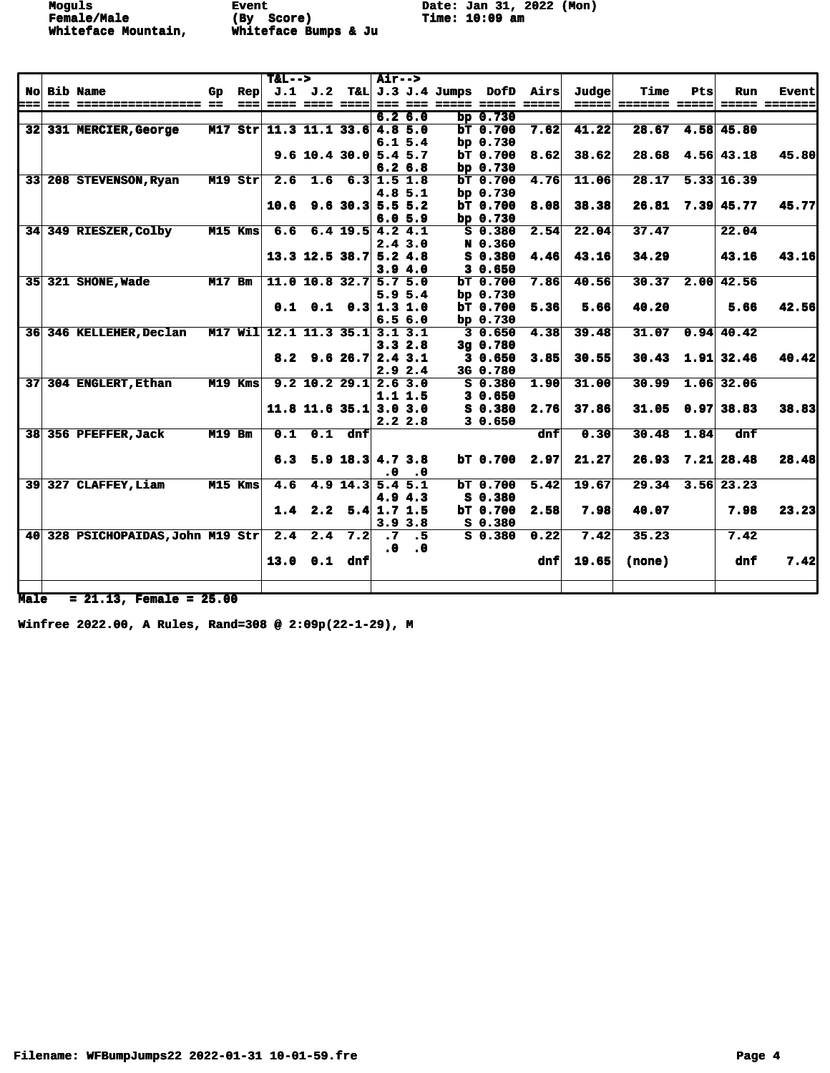**Female/Male (By Score) Time: 10:09 am Whiteface Mountain, Whiteface Bumps & Ju** 

Moguls **Event** Event Date: Jan 31, 2022 (Mon)<br> **Female/Male** (By Score) Time: 10:09 am

|     |                                   |               |            | $T&L-->$                       |                                |                    | <b>Air--&gt;</b> |              |                 |                                           |       |                      |      |                        |                      |
|-----|-----------------------------------|---------------|------------|--------------------------------|--------------------------------|--------------------|------------------|--------------|-----------------|-------------------------------------------|-------|----------------------|------|------------------------|----------------------|
|     | No Bib Name                       | Gp            | Rep        |                                |                                |                    |                  |              |                 | J.1 J.2 T&L J.3 J.4 Jumps DofD Airs       | Judge | Time                 | Pts  | Run                    | <b>Event</b>         |
| === | === ================== ==         |               | ===        |                                |                                |                    |                  |              |                 | ==== ==== ====  === === ===== ===== ===== |       | =====  ======= ===== |      |                        | <b>===== =======</b> |
|     |                                   |               |            |                                |                                |                    |                  | 6.26.0       | bp $0.730$      |                                           |       |                      |      |                        |                      |
|     | 32 331 MERCIER, George            |               |            | M17 Str 11.3 11.1 33.6 4.8 5.0 |                                |                    |                  |              | $bT$ 0.700      | 7.62                                      | 41,22 | 28.67                |      | 4.58 45.80             |                      |
|     |                                   |               |            |                                |                                |                    |                  | 6.15.4       | bp $0.730$      |                                           |       |                      |      |                        |                      |
|     |                                   |               |            |                                | $9.6$ 10.4 30.0 5.4 5.7        |                    |                  |              | $bT$ 0.700      | 8.62                                      | 38.62 |                      |      | $28.68$ 4.56 43.18     | 45.80                |
|     |                                   |               |            |                                |                                |                    |                  | 6.26.8       | bp $0.730$      |                                           |       |                      |      |                        |                      |
|     | 33 208 STEVENSON, Ryan            |               | $M19$ Str  |                                | $2.6$ 1.6 6.3 1.5 1.8          |                    |                  |              | $bT$ 0.700      | 4.76                                      | 11.06 |                      |      | 28.17 5.33 16.39       |                      |
|     |                                   |               |            |                                |                                |                    |                  | 4.8 5.1      | bp $0.730$      |                                           |       |                      |      |                        |                      |
|     |                                   |               |            |                                | $10.6$ 9.6 30.3 5.5 5.2        |                    |                  |              | <b>bT 0.700</b> | 8.08                                      | 38.38 |                      |      | $26.81$ 7.39 45.77     | 45.77                |
|     |                                   |               |            |                                |                                |                    |                  | 6.05.9       | bp $0.730$      |                                           |       |                      |      |                        |                      |
|     | 34 349 RIESZER, Colby             |               | $M15$ Kms  |                                | $6.6$ $6.4$ $19.5$ $4.2$ $4.1$ |                    |                  |              | $S$ 0.380       | 2.54                                      | 22.04 | 37.47                |      | 22.04                  |                      |
|     |                                   |               |            |                                |                                |                    |                  | 2.43.0       | N 0.360         |                                           |       |                      |      |                        |                      |
|     |                                   |               |            |                                | $13.3$ 12.5 38.7 5.2 4.8       |                    |                  |              | S 0.380         | 4.46                                      | 43.16 | 34.29                |      | 43.16                  | 43.16                |
|     |                                   |               |            |                                |                                |                    |                  | 3.94.0       | 30.650          |                                           |       |                      |      |                        |                      |
|     | 35 321 SHONE, Wade                | <b>M17 Bm</b> |            |                                | 11.0 10.8 32.7 5.7 5.0         |                    |                  |              | bT 0.700        | 7.86                                      | 40.56 | 30.37                |      | 2.00 42.56             |                      |
|     |                                   |               |            |                                |                                |                    |                  | 5.95.4       | bp $0.730$      |                                           |       |                      |      |                        |                      |
|     |                                   |               |            |                                | $0.1$ $0.1$ $0.3$ 1.3 1.0      |                    |                  |              | bT 0.700        | 5.36                                      | 5.66  | 40.20                |      | 5.66                   | 42.56                |
|     |                                   |               |            |                                |                                |                    |                  | 6.56.0       | bp $0.730$      |                                           |       |                      |      |                        |                      |
|     | 36 346 KELLEHER, Declan           |               | $M17$ Will |                                | 12.1 11.3 35.1 3.1 3.1         |                    |                  |              | 30.650          | 4.38                                      | 39.48 |                      |      | $31.07$ 0.94 40.42     |                      |
|     |                                   |               |            |                                |                                |                    |                  | 3.32.8       | $3g$ 0.780      |                                           |       |                      |      |                        |                      |
|     |                                   |               |            |                                | $8.2$ 9.6 26.7 2.4 3.1         |                    |                  |              | 30.650          | 3.85                                      | 30.55 |                      |      | $30.43$ 1.91 32.46     | 40.42                |
|     |                                   |               |            |                                |                                |                    |                  | 2.92.4       | 3G 0.780        |                                           |       |                      |      |                        |                      |
|     | 37 304 ENGLERT, Ethan             |               | $M19$ Kms  |                                | $9.2$ 10.2 29.1 2.6 3.0        |                    |                  |              | S 0.380         | 1.90                                      | 31.00 | 30.99                |      | $1.06$ 32.06           |                      |
|     |                                   |               |            |                                |                                |                    |                  | 1.1 1.5      | 30.650          |                                           |       |                      |      |                        |                      |
|     |                                   |               |            |                                | $11.8$ 11.6 35.1 3.0 3.0       |                    |                  |              | $S_0.380$       | 2.76                                      | 37.86 |                      |      | $31.05$ 0.97 38.83     | 38.83                |
|     |                                   |               |            |                                |                                |                    |                  | 2.22.8       | 30.650          |                                           |       |                      |      |                        |                      |
|     | 38 356 PFEFFER, Jack              | <b>M19 Bm</b> |            | 0.1                            |                                | $0.1$ dnf          |                  |              |                 | dnf                                       | 0.30  | 30.48                | 1.84 | dnf                    |                      |
|     |                                   |               |            |                                |                                |                    |                  |              |                 |                                           |       |                      |      |                        |                      |
|     |                                   |               |            |                                | 6.3 5.9 18.3 $4.7$ 3.8         |                    |                  |              |                 | $bT$ 0.700 2.97                           | 21.27 |                      |      | $26.93$ $7.21$ $28.48$ | 28.48                |
|     |                                   |               |            |                                |                                |                    | . 0              | $\cdot$ 0    |                 |                                           |       |                      |      |                        |                      |
|     | 39 327 CLAFFEY, Liam              |               | M15 Kms    | 4.6                            |                                | $4.9$ 14.3 5.4 5.1 |                  |              | $bT$ 0.700      | 5.42                                      | 19.67 |                      |      | $29.34$ 3.56 23.23     |                      |
|     |                                   |               |            |                                |                                |                    |                  | 4.94.3       | S 0.380         |                                           |       |                      |      |                        |                      |
|     |                                   |               |            |                                | 1.4 2.2 5.4 1.7 1.5            |                    |                  |              | $bT$ 0.700      | 2.58                                      | 7.98  | 40.07                |      | 7.98                   | 23.23                |
|     |                                   |               |            |                                |                                |                    |                  | $3.9 \, 3.8$ | $S_0$ .380      |                                           |       |                      |      |                        |                      |
|     | 40 328 PSICHOPAIDAS, John M19 Str |               |            |                                | $2.4$ $2.4$ $7.2$              |                    | $\cdot$ 7        | $\cdot$ 5    | $S_0.380$       | 0.22                                      | 7.42  | 35.23                |      | 7.42                   |                      |
|     |                                   |               |            |                                |                                |                    | $\ddot{\bm{0}}$  | $\cdot$ 0    |                 |                                           |       |                      |      |                        |                      |
|     |                                   |               |            |                                | $13.0$ 0.1 dnf                 |                    |                  |              |                 | dnf                                       | 19.65 | (none)               |      | dnf                    | 7.42                 |
|     |                                   |               |            |                                |                                |                    |                  |              |                 |                                           |       |                      |      |                        |                      |
|     |                                   |               |            |                                |                                |                    |                  |              |                 |                                           |       |                      |      |                        |                      |

**Male = 21.13, Female = 25.00**

**Winfree 2022.00, A Rules, Rand=308 @ 2:09p(22-1-29), M**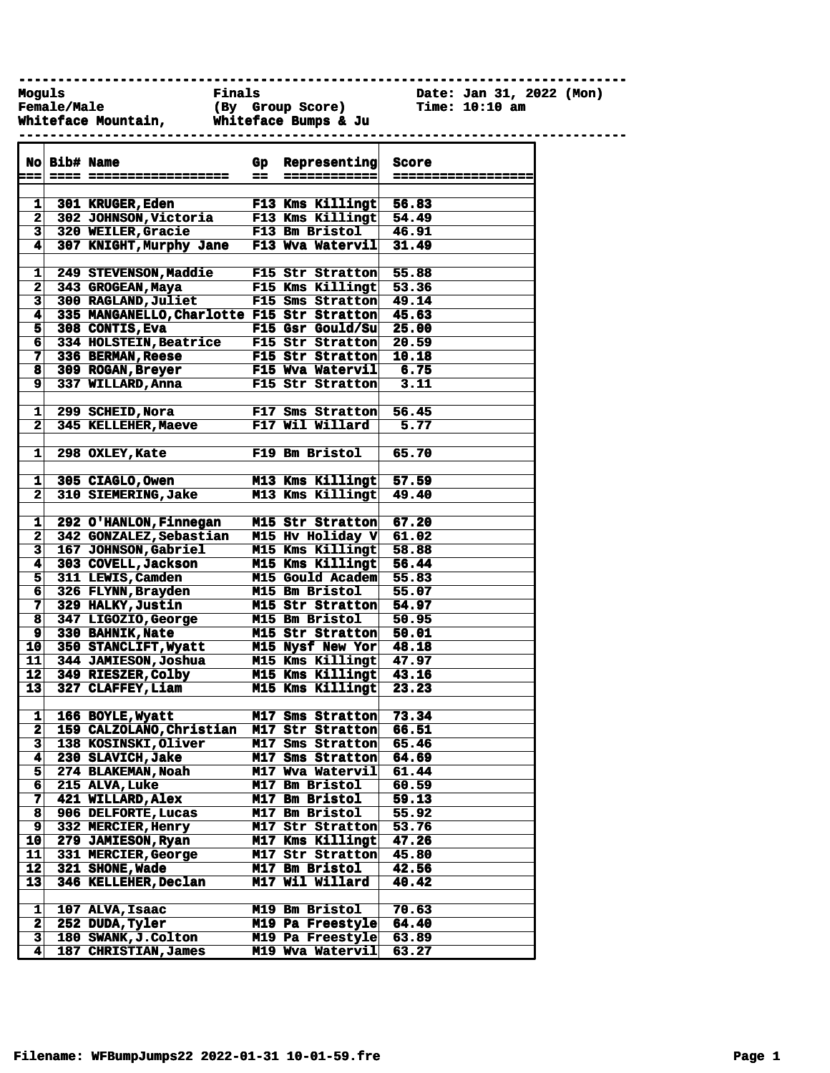**------------------------------------------------------------------------------**

**Female/Male (By Group Score) Time: 10:10 am**

**Moguls Finals Date: Jan 31, 2022 (Mon)**

|                 |              | Whiteface Mountain, Whiteface Bumps & Ju   |                  |                        |                    |  |
|-----------------|--------------|--------------------------------------------|------------------|------------------------|--------------------|--|
|                 | No Bib# Name |                                            | $G_{\mathbf{P}}$ | Representing           | Score              |  |
| ===             |              |                                            | --               | ============           | ================== |  |
|                 |              |                                            |                  |                        |                    |  |
| 11              |              | <b>301 KRUGER, Eden</b>                    |                  | F13 Kms Killingt       | 56.83              |  |
|                 |              | 2 302 JOHNSON, Victoria                    |                  | F13 Kms Killingt       | 54.49              |  |
| $\mathbf{3}$    |              | 320 WEILER, Gracie                         |                  | <b>F13 Bm Bristol</b>  | 46.91              |  |
| 4               |              | 307 KNIGHT, Murphy Jane                    |                  | F13 Wva Watervil       |                    |  |
|                 |              |                                            |                  |                        | 31.49              |  |
| 1               |              | 249 STEVENSON, Maddie                      |                  | F15 Str Stratton       |                    |  |
| 2 <sub>1</sub>  |              |                                            |                  | F15 Kms Killingt       | 55.88              |  |
|                 |              | 343 GROGEAN, Maya                          |                  |                        | 53.36              |  |
| $\mathbf{3}$    |              | 300 RAGLAND, Juliet                        |                  | F15 Sms Stratton       | 49.14              |  |
| 4               |              | 335 MANGANELLO, Charlotte F15 Str Stratton |                  |                        | 45.63              |  |
| 51              |              | 308 CONTIS, Eva                            |                  | F15 Gsr Gould/Su       | 25.00              |  |
| 61              |              | 334 HOLSTEIN, Beatrice                     |                  | F15 Str Stratton       | 20.59              |  |
| 71              |              | 336 BERMAN, Reese                          |                  | F15 Str Stratton       | 10.18              |  |
| 8               |              | 309 ROGAN, Breyer                          |                  | F15 Wva Watervil       | 6.75               |  |
| $\mathbf{9}$    |              | 337 WILLARD, Anna                          |                  | F15 Str Stratton       | 3.11               |  |
|                 |              |                                            |                  |                        |                    |  |
| $\mathbf{1}$    |              | 299 SCHEID, Nora                           |                  | F17 Sms Stratton       | 56.45              |  |
| $\mathbf{2}$    |              | 345 KELLEHER, Maeve                        |                  | <b>F17 Wil Willard</b> | 5.77               |  |
|                 |              |                                            |                  |                        |                    |  |
| 1               |              | 298 OXLEY, Kate                            |                  | F19 Bm Bristol         | 65.70              |  |
|                 |              |                                            |                  |                        |                    |  |
| 1               |              | 305 CIAGLO, Owen                           |                  | M13 Kms Killingt       | 57.59              |  |
| $\mathbf{2}$    |              | 310 SIEMERING, Jake                        |                  | M13 Kms Killingt       | 49.40              |  |
|                 |              |                                            |                  |                        |                    |  |
| 1               |              | 292 O'HANLON, Finnegan                     |                  | M15 Str Stratton       | 67.20              |  |
| $\mathbf{2}$    |              | <b>342 GONZALEZ, Sebastian</b>             |                  | M15 Hv Holiday V       | 61.02              |  |
| 31              |              | 167 JOHNSON, Gabriel                       |                  | M15 Kms Killingt       | 58.88              |  |
| 41              |              | 303 COVELL, Jackson                        |                  | M15 Kms Killingt       | 56.44              |  |
| 5 <sup>1</sup>  |              | 311 LEWIS, Camden                          |                  | M15 Gould Academ       | 55.83              |  |
| 61              |              | 326 FLYNN, Brayden                         |                  | M15 Bm Bristol         | 55.07              |  |
| 7               |              | 329 HALKY, Justin                          |                  | M15 Str Stratton       | 54.97              |  |
| $\mathbf{8}$    |              | 347 LIGOZIO, George                        |                  | <b>M15 Bm Bristol</b>  | 50.95              |  |
| 9 <sup>1</sup>  |              | 330 BAHNIK, Nate                           |                  | M15 Str Stratton       | 50.01              |  |
| 10 <sub>1</sub> |              | 350 STANCLIFT, Wyatt                       |                  | M15 Nysf New Yor       | 48.18              |  |
| 11              |              | 344 JAMIESON, Joshua                       |                  | M15 Kms Killingt       | 47.97              |  |
| 12              |              | 349 RIESZER, Colby                         |                  | M15 Kms Killingt       | 43.16              |  |
| 13 <sup>1</sup> |              | 327 CLAFFEY, Liam                          |                  | M15 Kms Killingt       | 23.23              |  |
|                 |              |                                            |                  |                        |                    |  |
| $\mathbf{1}$    |              | 166 BOYLE, Wyatt                           |                  | M17 Sms Stratton       | 73.34              |  |
|                 |              | 159 CALZOLANO, Christian                   |                  | M17 Str Stratton       | 66.51              |  |
| 2               |              |                                            |                  |                        |                    |  |
| з               |              | 138 KOSINSKI, Oliver                       |                  | M17 Sms Stratton       | 65.46              |  |
| 4               |              | 230 SLAVICH, Jake                          |                  | M17 Sms Stratton       | 64.69              |  |
| 5 <sup>1</sup>  |              | 274 BLAKEMAN, Noah                         |                  | M17 Wva Watervil       | 61.44              |  |
| 6               |              | 215 ALVA, Luke                             |                  | M17 Bm Bristol         | 60.59              |  |
| 7               |              | 421 WILLARD, Alex                          |                  | M17 Bm Bristol         | 59.13              |  |
| 8               |              | 906 DELFORTE, Lucas                        |                  | M17 Bm Bristol         | 55.92              |  |
| 9               |              | 332 MERCIER, Henry                         |                  | M17 Str Stratton       | 53.76              |  |
| 10              |              | 279 JAMIESON, Ryan                         |                  | M17 Kms Killingt       | 47.26              |  |

**Filename: WFBumpJumps22 2022-01-31 10-01-59.fre Page 1**

**11 331 MERCIER,George M17 Str Stratton 45.80 12 321 SHONE,Wade M17 Bm Bristol 42.56 13 346 KELLEHER,Declan M17 Wil Willard 40.42**

**1 107 ALVA,Isaac M19 Bm Bristol 70.63 2 252 DUDA,Tyler M19 Pa Freestyle 64.40**

**4 187 CHRISTIAN,James M19 Wva Watervil 63.27**

180 SWANK, J.Colton